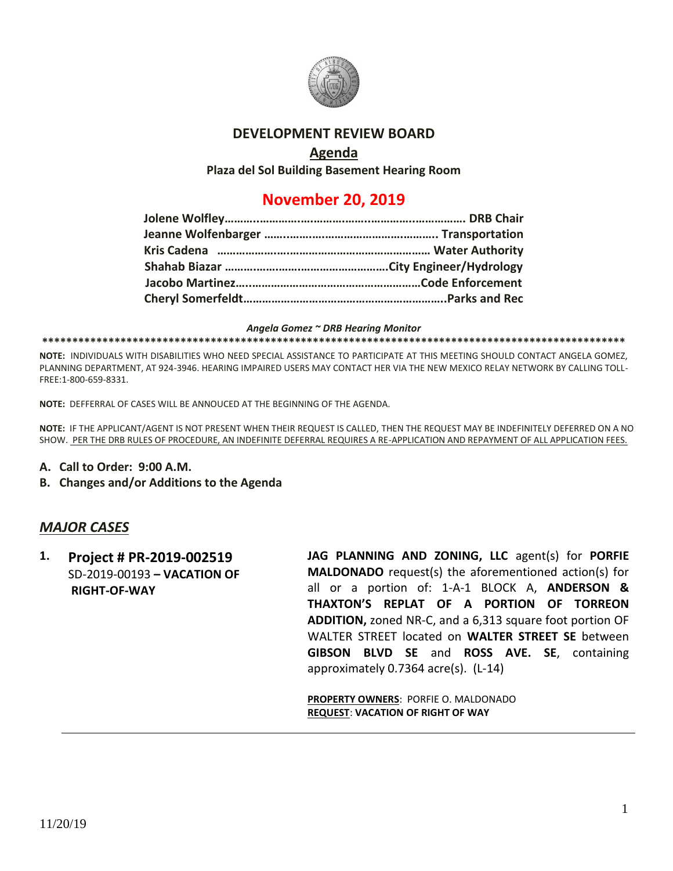

### **DEVELOPMENT REVIEW BOARD**

### **Agenda**

**Plaza del Sol Building Basement Hearing Room**

# **November 20, 2019**

#### *Angela Gomez ~ DRB Hearing Monitor*

#### **\*\*\*\*\*\*\*\*\*\*\*\*\*\*\*\*\*\*\*\*\*\*\*\*\*\*\*\*\*\*\*\*\*\*\*\*\*\*\*\*\*\*\*\*\*\*\*\*\*\*\*\*\*\*\*\*\*\*\*\*\*\*\*\*\*\*\*\*\*\*\*\*\*\*\*\*\*\*\*\*\*\*\*\*\*\*\*\*\*\*\*\*\*\*\*\*\***

**NOTE:** INDIVIDUALS WITH DISABILITIES WHO NEED SPECIAL ASSISTANCE TO PARTICIPATE AT THIS MEETING SHOULD CONTACT ANGELA GOMEZ, PLANNING DEPARTMENT, AT 924-3946. HEARING IMPAIRED USERS MAY CONTACT HER VIA THE NEW MEXICO RELAY NETWORK BY CALLING TOLL-FREE:1-800-659-8331.

**NOTE:** DEFFERRAL OF CASES WILL BE ANNOUCED AT THE BEGINNING OF THE AGENDA.

**NOTE:** IF THE APPLICANT/AGENT IS NOT PRESENT WHEN THEIR REQUEST IS CALLED, THEN THE REQUEST MAY BE INDEFINITELY DEFERRED ON A NO SHOW. PER THE DRB RULES OF PROCEDURE, AN INDEFINITE DEFERRAL REQUIRES A RE-APPLICATION AND REPAYMENT OF ALL APPLICATION FEES.

- **A. Call to Order: 9:00 A.M.**
- **B. Changes and/or Additions to the Agenda**

### *MAJOR CASES*

**1. Project # PR-2019-002519** SD-2019-00193 **– VACATION OF RIGHT-OF-WAY**

**JAG PLANNING AND ZONING, LLC** agent(s) for **PORFIE MALDONADO** request(s) the aforementioned action(s) for all or a portion of: 1-A-1 BLOCK A, **ANDERSON & THAXTON'S REPLAT OF A PORTION OF TORREON ADDITION,** zoned NR-C, and a 6,313 square foot portion OF WALTER STREET located on **WALTER STREET SE** between **GIBSON BLVD SE** and **ROSS AVE. SE**, containing approximately 0.7364 acre(s). (L-14)

**PROPERTY OWNERS**: PORFIE O. MALDONADO **REQUEST**: **VACATION OF RIGHT OF WAY**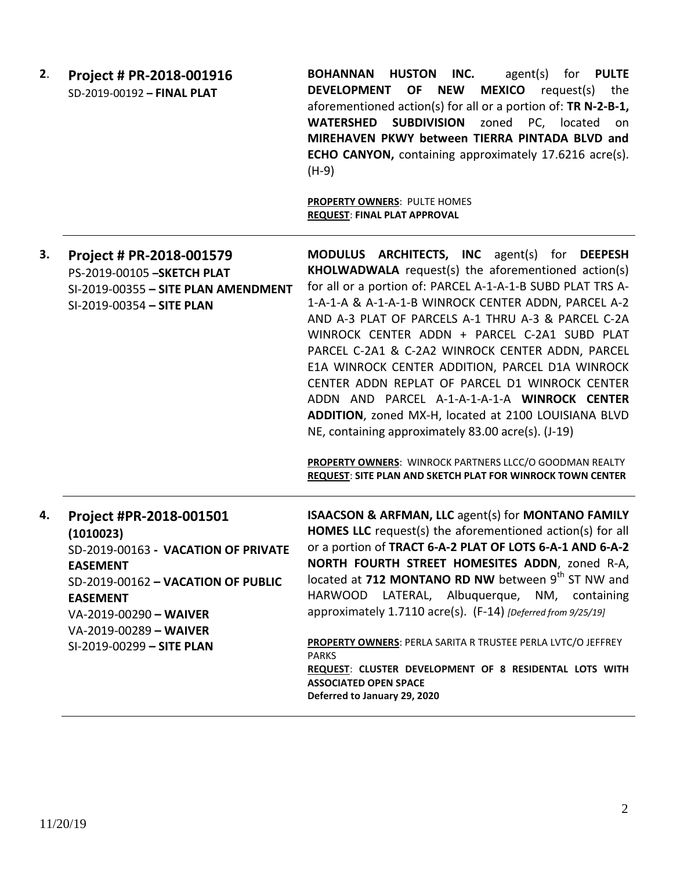| 2. | Project # PR-2018-001916<br>SD-2019-00192 - FINAL PLAT                                                                                                                                                                                   | <b>HUSTON</b><br>for <b>PULTE</b><br><b>BOHANNAN</b><br>INC.<br>agent(s)<br><b>MEXICO</b> request(s) the<br>OF<br><b>NEW</b><br><b>DEVELOPMENT</b><br>aforementioned action(s) for all or a portion of: TR N-2-B-1,<br><b>WATERSHED</b><br><b>SUBDIVISION</b><br>zoned<br>PC, located<br>on<br>MIREHAVEN PKWY between TIERRA PINTADA BLVD and<br><b>ECHO CANYON, containing approximately 17.6216 acre(s).</b><br>$(H-9)$<br>PROPERTY OWNERS: PULTE HOMES<br><b>REQUEST: FINAL PLAT APPROVAL</b>                                                                                                                                                                                                                        |
|----|------------------------------------------------------------------------------------------------------------------------------------------------------------------------------------------------------------------------------------------|-------------------------------------------------------------------------------------------------------------------------------------------------------------------------------------------------------------------------------------------------------------------------------------------------------------------------------------------------------------------------------------------------------------------------------------------------------------------------------------------------------------------------------------------------------------------------------------------------------------------------------------------------------------------------------------------------------------------------|
| 3. | Project # PR-2018-001579<br>PS-2019-00105 - SKETCH PLAT<br>SI-2019-00355 - SITE PLAN AMENDMENT<br>SI-2019-00354 - SITE PLAN                                                                                                              | MODULUS ARCHITECTS, INC agent(s) for DEEPESH<br><b>KHOLWADWALA</b> request(s) the aforementioned action(s)<br>for all or a portion of: PARCEL A-1-A-1-B SUBD PLAT TRS A-<br>1-A-1-A & A-1-A-1-B WINROCK CENTER ADDN, PARCEL A-2<br>AND A-3 PLAT OF PARCELS A-1 THRU A-3 & PARCEL C-2A<br>WINROCK CENTER ADDN + PARCEL C-2A1 SUBD PLAT<br>PARCEL C-2A1 & C-2A2 WINROCK CENTER ADDN, PARCEL<br>E1A WINROCK CENTER ADDITION, PARCEL D1A WINROCK<br>CENTER ADDN REPLAT OF PARCEL D1 WINROCK CENTER<br>ADDN AND PARCEL A-1-A-1-A-1-A WINROCK CENTER<br>ADDITION, zoned MX-H, located at 2100 LOUISIANA BLVD<br>NE, containing approximately 83.00 acre(s). (J-19)<br>PROPERTY OWNERS: WINROCK PARTNERS LLCC/O GOODMAN REALTY |
| 4. | Project #PR-2018-001501<br>(1010023)<br>SD-2019-00163 - VACATION OF PRIVATE<br><b>EASEMENT</b><br>SD-2019-00162 - VACATION OF PUBLIC<br><b>EASEMENT</b><br>VA-2019-00290 - WAIVER<br>VA-2019-00289 - WAIVER<br>SI-2019-00299 - SITE PLAN | REQUEST: SITE PLAN AND SKETCH PLAT FOR WINROCK TOWN CENTER<br><b>ISAACSON &amp; ARFMAN, LLC agent(s) for MONTANO FAMILY</b><br>HOMES LLC request(s) the aforementioned action(s) for all<br>or a portion of TRACT 6-A-2 PLAT OF LOTS 6-A-1 AND 6-A-2<br>NORTH FOURTH STREET HOMESITES ADDN, zoned R-A,<br>located at 712 MONTANO RD NW between 9th ST NW and<br>HARWOOD LATERAL, Albuquerque, NM, containing<br>approximately 1.7110 acre(s). (F-14) [Deferred from 9/25/19]<br>PROPERTY OWNERS: PERLA SARITA R TRUSTEE PERLA LVTC/O JEFFREY<br><b>PARKS</b><br>REQUEST: CLUSTER DEVELOPMENT OF 8 RESIDENTAL LOTS WITH<br><b>ASSOCIATED OPEN SPACE</b><br>Deferred to January 29, 2020                                  |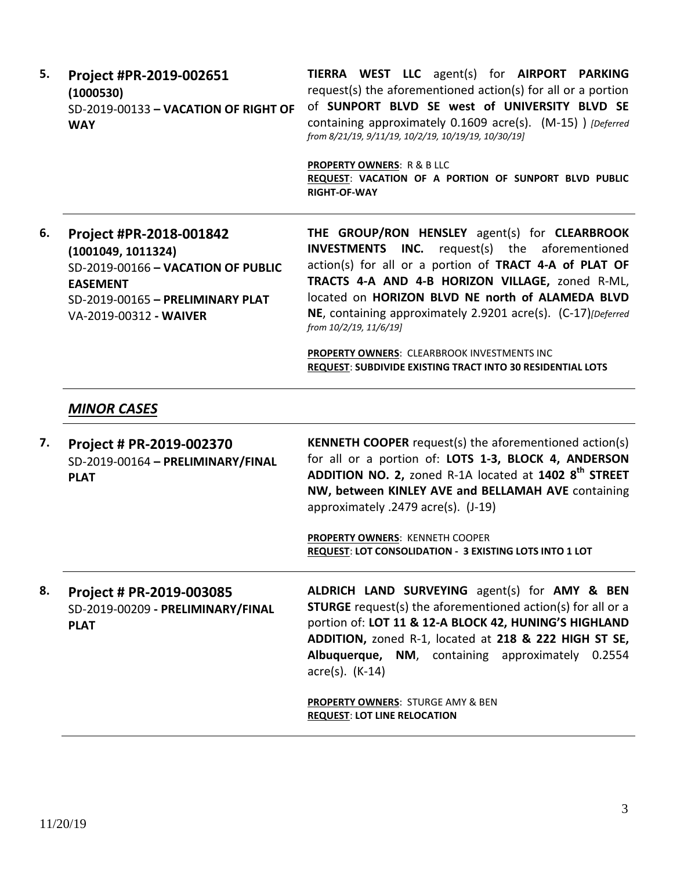| 5. | Project #PR-2019-002651<br>(1000530)<br>SD-2019-00133 - VACATION OF RIGHT OF<br><b>WAY</b>                                                                           | TIERRA WEST LLC agent(s) for AIRPORT PARKING<br>request(s) the aforementioned action(s) for all or a portion<br>of SUNPORT BLVD SE west of UNIVERSITY BLVD SE<br>containing approximately 0.1609 acre(s). (M-15) ) [Deferred<br>from 8/21/19, 9/11/19, 10/2/19, 10/19/19, 10/30/19]<br><b>PROPERTY OWNERS: R &amp; B LLC</b><br>REQUEST: VACATION OF A PORTION OF SUNPORT BLVD PUBLIC<br><b>RIGHT-OF-WAY</b>                                                                   |
|----|----------------------------------------------------------------------------------------------------------------------------------------------------------------------|--------------------------------------------------------------------------------------------------------------------------------------------------------------------------------------------------------------------------------------------------------------------------------------------------------------------------------------------------------------------------------------------------------------------------------------------------------------------------------|
| 6. | Project #PR-2018-001842<br>(1001049, 1011324)<br>SD-2019-00166 - VACATION OF PUBLIC<br><b>EASEMENT</b><br>SD-2019-00165 - PRELIMINARY PLAT<br>VA-2019-00312 - WAIVER | THE GROUP/RON HENSLEY agent(s) for CLEARBROOK<br><b>INVESTMENTS INC.</b> request(s) the aforementioned<br>action(s) for all or a portion of TRACT 4-A of PLAT OF<br>TRACTS 4-A AND 4-B HORIZON VILLAGE, zoned R-ML,<br>located on HORIZON BLVD NE north of ALAMEDA BLVD<br>NE, containing approximately 2.9201 acre(s). (C-17)[Deferred<br>from 10/2/19, 11/6/19]<br>PROPERTY OWNERS: CLEARBROOK INVESTMENTS INC<br>REQUEST: SUBDIVIDE EXISTING TRACT INTO 30 RESIDENTIAL LOTS |
|    | <b>MINOR CASES</b>                                                                                                                                                   |                                                                                                                                                                                                                                                                                                                                                                                                                                                                                |
| 7. | Project # PR-2019-002370<br>SD-2019-00164 - PRELIMINARY/FINAL<br><b>PLAT</b>                                                                                         | <b>KENNETH COOPER</b> request(s) the aforementioned action(s)<br>for all or a portion of: LOTS 1-3, BLOCK 4, ANDERSON<br>ADDITION NO. 2, zoned R-1A located at 1402 8 <sup>th</sup> STREET<br>NW, between KINLEY AVE and BELLAMAH AVE containing<br>approximately .2479 acre(s). (J-19)                                                                                                                                                                                        |
|    |                                                                                                                                                                      | <b>PROPERTY OWNERS: KENNETH COOPER</b><br>REQUEST: LOT CONSOLIDATION - 3 EXISTING LOTS INTO 1 LOT                                                                                                                                                                                                                                                                                                                                                                              |
| 8. | Project # PR-2019-003085<br>SD-2019-00209 - PRELIMINARY/FINAL<br><b>PLAT</b>                                                                                         | ALDRICH LAND SURVEYING agent(s) for AMY & BEN<br><b>STURGE</b> request(s) the aforementioned action(s) for all or a<br>portion of: LOT 11 & 12-A BLOCK 42, HUNING'S HIGHLAND<br>ADDITION, zoned R-1, located at 218 & 222 HIGH ST SE,<br>Albuquerque, NM, containing approximately<br>0.2554<br>$\arccos(5)$ . (K-14)                                                                                                                                                          |
|    |                                                                                                                                                                      | PROPERTY OWNERS: STURGE AMY & BEN<br><b>REQUEST: LOT LINE RELOCATION</b>                                                                                                                                                                                                                                                                                                                                                                                                       |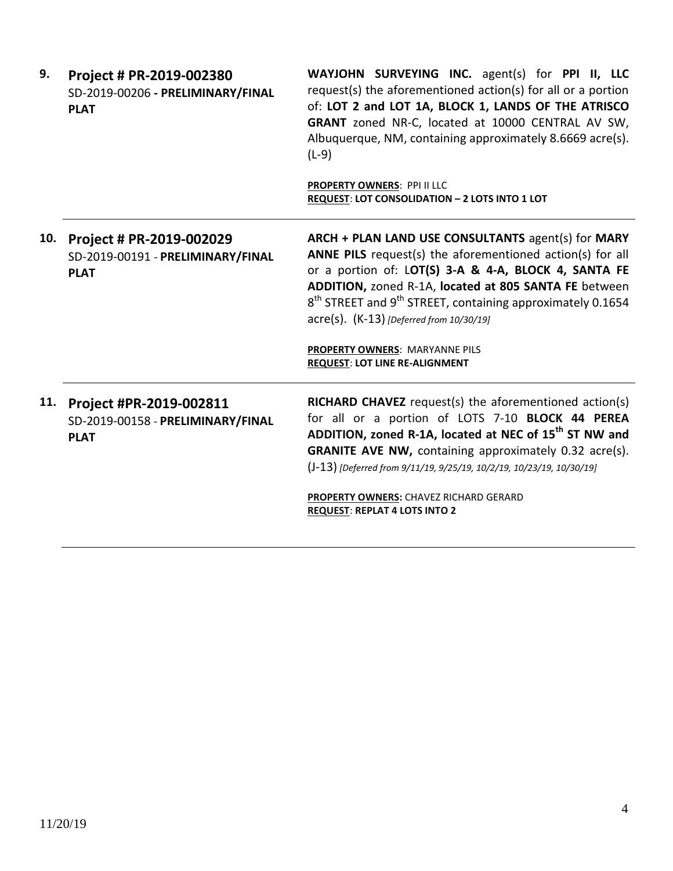| 9.  | Project # PR-2019-002380<br>SD-2019-00206 - PRELIMINARY/FINAL<br><b>PLAT</b> | WAYJOHN SURVEYING INC. agent(s) for PPI II, LLC<br>request(s) the aforementioned action(s) for all or a portion<br>of: LOT 2 and LOT 1A, BLOCK 1, LANDS OF THE ATRISCO<br>GRANT zoned NR-C, located at 10000 CENTRAL AV SW,<br>Albuquerque, NM, containing approximately 8.6669 acre(s).<br>$(L-9)$                                                                                                                       |
|-----|------------------------------------------------------------------------------|---------------------------------------------------------------------------------------------------------------------------------------------------------------------------------------------------------------------------------------------------------------------------------------------------------------------------------------------------------------------------------------------------------------------------|
|     |                                                                              | PROPERTY OWNERS: PPI II LLC<br>REQUEST: LOT CONSOLIDATION - 2 LOTS INTO 1 LOT                                                                                                                                                                                                                                                                                                                                             |
| 10. | Project # PR-2019-002029<br>SD-2019-00191 - PRELIMINARY/FINAL<br><b>PLAT</b> | ARCH + PLAN LAND USE CONSULTANTS agent(s) for MARY<br>ANNE PILS request(s) the aforementioned action(s) for all<br>or a portion of: LOT(S) 3-A & 4-A, BLOCK 4, SANTA FE<br>ADDITION, zoned R-1A, located at 805 SANTA FE between<br>$8th$ STREET and $9th$ STREET, containing approximately 0.1654<br>acre(s). (K-13) [Deferred from 10/30/19]<br>PROPERTY OWNERS: MARYANNE PILS<br><b>REQUEST: LOT LINE RE-ALIGNMENT</b> |
| 11. | Project #PR-2019-002811<br>SD-2019-00158 - PRELIMINARY/FINAL<br><b>PLAT</b>  | RICHARD CHAVEZ request(s) the aforementioned action(s)<br>for all or a portion of LOTS 7-10 BLOCK 44 PEREA<br>ADDITION, zoned R-1A, located at NEC of 15 <sup>th</sup> ST NW and<br><b>GRANITE AVE NW, containing approximately 0.32 acre(s).</b><br>(J-13) [Deferred from 9/11/19, 9/25/19, 10/2/19, 10/23/19, 10/30/19]<br>PROPERTY OWNERS: CHAVEZ RICHARD GERARD<br><b>REQUEST: REPLAT 4 LOTS INTO 2</b>               |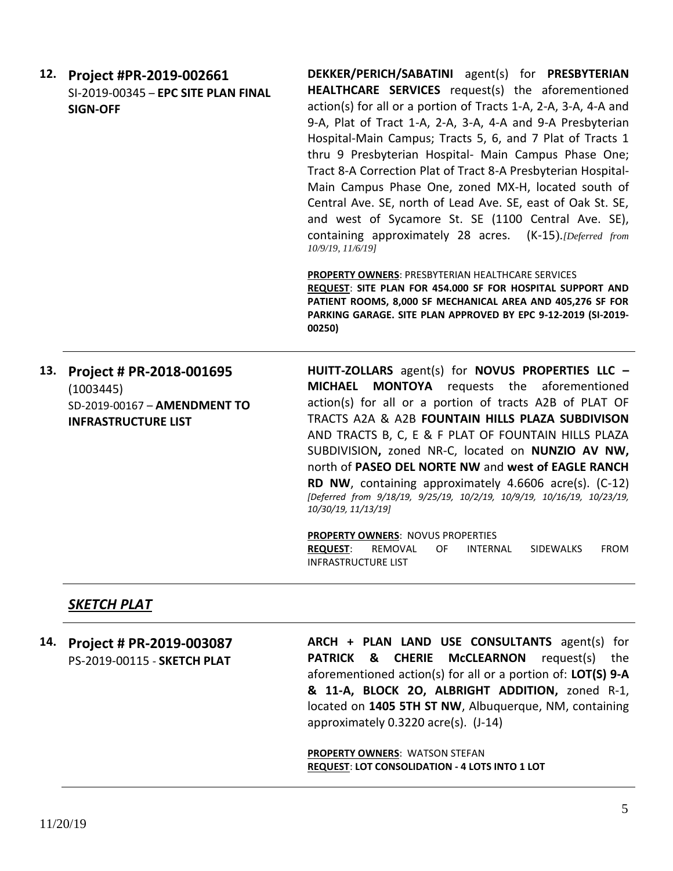| 12. | Project #PR-2019-002661             | DEKKER/PERICH/SABATINI agent(s) for PRESBYTERIAN                               |
|-----|-------------------------------------|--------------------------------------------------------------------------------|
|     | SI-2019-00345 - EPC SITE PLAN FINAL | <b>HEALTHCARE SERVICES</b> request(s) the aforementioned                       |
|     | <b>SIGN-OFF</b>                     | action(s) for all or a portion of Tracts 1-A, 2-A, 3-A, 4-A and                |
|     |                                     | 9-A, Plat of Tract 1-A, 2-A, 3-A, 4-A and 9-A Presbyterian                     |
|     |                                     | Hospital-Main Campus; Tracts 5, 6, and 7 Plat of Tracts 1                      |
|     |                                     | thru 9 Presbyterian Hospital- Main Campus Phase One;                           |
|     |                                     | Tract 8-A Correction Plat of Tract 8-A Presbyterian Hospital-                  |
|     |                                     | Main Campus Phase One, zoned MX-H, located south of                            |
|     |                                     | Central Ave. SE, north of Lead Ave. SE, east of Oak St. SE,                    |
|     |                                     | and west of Sycamore St. SE (1100 Central Ave. SE),                            |
|     |                                     | containing approximately 28 acres. (K-15). [Deferred from<br>10/9/19, 11/6/191 |
|     |                                     | <b>PROPERTY OWNERS: PRESBYTERIAN HEALTHCARE SERVICES</b>                       |
|     |                                     | REQUEST: SITE PLAN FOR 454.000 SF FOR HOSPITAL SUPPORT AND                     |
|     |                                     | PATIENT ROOMS, 8,000 SF MECHANICAL AREA AND 405,276 SF FOR                     |
|     |                                     | PARKING GARAGE. SITE PLAN APPROVED BY EPC 9-12-2019 (SI-2019-<br>00250)        |

**13. Project # PR-2018-001695**  (1003445) SD-2019-00167 – **AMENDMENT TO INFRASTRUCTURE LIST**

**HUITT-ZOLLARS** agent(s) for **NOVUS PROPERTIES LLC – MICHAEL MONTOYA** requests the aforementioned action(s) for all or a portion of tracts A2B of PLAT OF TRACTS A2A & A2B **FOUNTAIN HILLS PLAZA SUBDIVISON** AND TRACTS B, C, E & F PLAT OF FOUNTAIN HILLS PLAZA SUBDIVISION**,** zoned NR-C, located on **NUNZIO AV NW,**  north of **PASEO DEL NORTE NW** and **west of EAGLE RANCH RD NW**, containing approximately 4.6606 acre(s). (C-12) *[Deferred from 9/18/19, 9/25/19, 10/2/19, 10/9/19, 10/16/19, 10/23/19, 10/30/19, 11/13/19]*

**PROPERTY OWNERS**: NOVUS PROPERTIES **REQUEST**: REMOVAL OF INTERNAL SIDEWALKS FROM INFRASTRUCTURE LIST

### *SKETCH PLAT*

**14. Project # PR-2019-003087** PS-2019-00115 - **SKETCH PLAT ARCH + PLAN LAND USE CONSULTANTS** agent(s) for **PATRICK & CHERIE McCLEARNON** request(s) the aforementioned action(s) for all or a portion of: **LOT(S) 9-A & 11-A, BLOCK 2O, ALBRIGHT ADDITION,** zoned R-1, located on **1405 5TH ST NW**, Albuquerque, NM, containing approximately 0.3220 acre(s). (J-14) **PROPERTY OWNERS**: WATSON STEFAN

**REQUEST**: **LOT CONSOLIDATION - 4 LOTS INTO 1 LOT**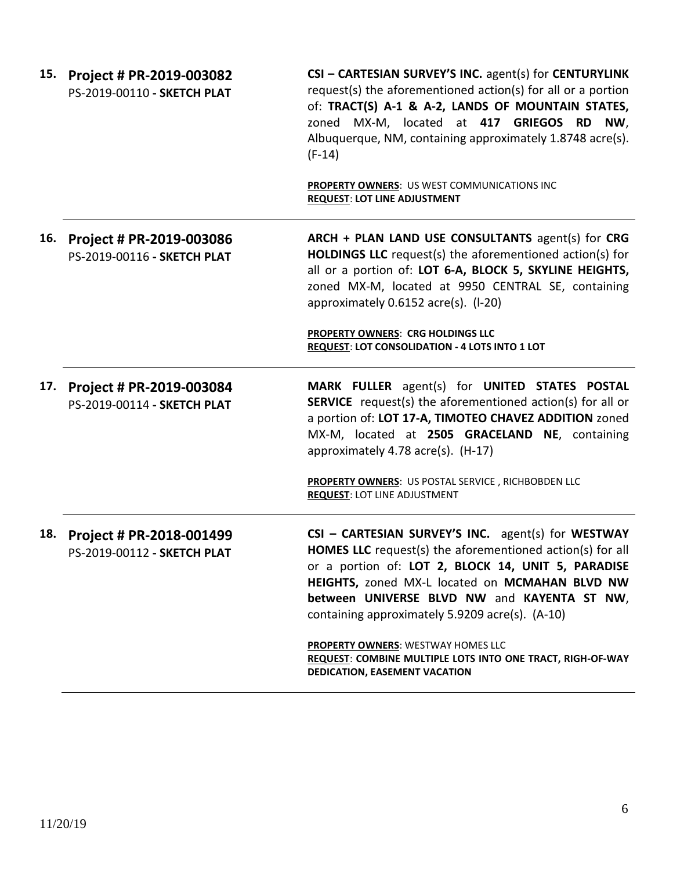|     | 15. Project # PR-2019-003082<br>PS-2019-00110 - SKETCH PLAT | CSI - CARTESIAN SURVEY'S INC. agent(s) for CENTURYLINK<br>request(s) the aforementioned action(s) for all or a portion<br>of: TRACT(S) A-1 & A-2, LANDS OF MOUNTAIN STATES,<br>zoned MX-M, located at 417 GRIEGOS RD<br>NW,<br>Albuquerque, NM, containing approximately 1.8748 acre(s).<br>$(F-14)$<br>PROPERTY OWNERS: US WEST COMMUNICATIONS INC<br><b>REQUEST: LOT LINE ADJUSTMENT</b> |
|-----|-------------------------------------------------------------|--------------------------------------------------------------------------------------------------------------------------------------------------------------------------------------------------------------------------------------------------------------------------------------------------------------------------------------------------------------------------------------------|
| 16. | Project # PR-2019-003086<br>PS-2019-00116 - SKETCH PLAT     | ARCH + PLAN LAND USE CONSULTANTS agent(s) for CRG<br><b>HOLDINGS LLC</b> request(s) the aforementioned action(s) for<br>all or a portion of: LOT 6-A, BLOCK 5, SKYLINE HEIGHTS,<br>zoned MX-M, located at 9950 CENTRAL SE, containing<br>approximately 0.6152 acre(s). (I-20)                                                                                                              |
|     |                                                             | <b>PROPERTY OWNERS: CRG HOLDINGS LLC</b><br>REQUEST: LOT CONSOLIDATION - 4 LOTS INTO 1 LOT                                                                                                                                                                                                                                                                                                 |
| 17. | Project # PR-2019-003084<br>PS-2019-00114 - SKETCH PLAT     | MARK FULLER agent(s) for UNITED STATES POSTAL<br><b>SERVICE</b> request(s) the aforementioned action(s) for all or<br>a portion of: LOT 17-A, TIMOTEO CHAVEZ ADDITION zoned<br>MX-M, located at 2505 GRACELAND NE, containing<br>approximately 4.78 acre(s). (H-17)                                                                                                                        |
|     |                                                             | PROPERTY OWNERS: US POSTAL SERVICE, RICHBOBDEN LLC<br><b>REQUEST: LOT LINE ADJUSTMENT</b>                                                                                                                                                                                                                                                                                                  |
| 18. | Project # PR-2018-001499<br>PS-2019-00112 - SKETCH PLAT     | CSI - CARTESIAN SURVEY'S INC. agent(s) for WESTWAY<br><b>HOMES LLC</b> request(s) the aforementioned action(s) for all<br>or a portion of: LOT 2, BLOCK 14, UNIT 5, PARADISE<br>HEIGHTS, zoned MX-L located on MCMAHAN BLVD NW<br>between UNIVERSE BLVD NW and KAYENTA ST NW,<br>containing approximately 5.9209 acre(s). (A-10)                                                           |
|     |                                                             | <b>PROPERTY OWNERS: WESTWAY HOMES LLC</b><br>REQUEST: COMBINE MULTIPLE LOTS INTO ONE TRACT, RIGH-OF-WAY<br>DEDICATION, EASEMENT VACATION                                                                                                                                                                                                                                                   |